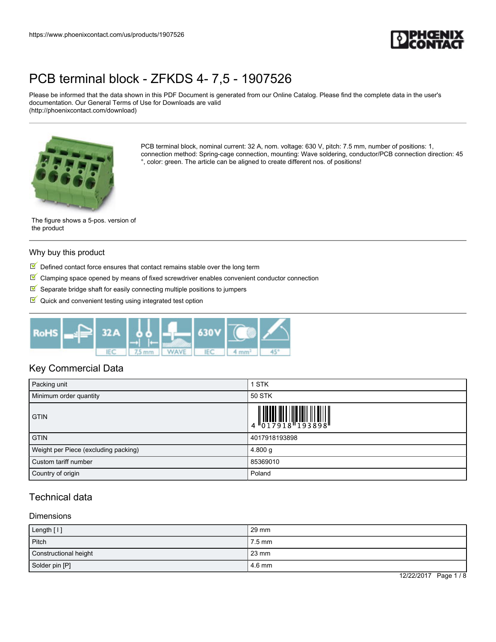

Please be informed that the data shown in this PDF Document is generated from our Online Catalog. Please find the complete data in the user's documentation. Our General Terms of Use for Downloads are valid (http://phoenixcontact.com/download)



PCB terminal block, nominal current: 32 A, nom. voltage: 630 V, pitch: 7.5 mm, number of positions: 1, connection method: Spring-cage connection, mounting: Wave soldering, conductor/PCB connection direction: 45 °, color: green. The article can be aligned to create different nos. of positions!

The figure shows a 5-pos. version of the product

#### Why buy this product

- $\blacksquare$  Defined contact force ensures that contact remains stable over the long term
- $\blacktriangledown$ Clamping space opened by means of fixed screwdriver enables convenient conductor connection
- $\mathbb S$  Separate bridge shaft for easily connecting multiple positions to jumpers
- $\blacksquare$  Quick and convenient testing using integrated test option



## Key Commercial Data

| Packing unit                         | <b>STK</b>                                                                                                                                                                                                                                                                                                               |
|--------------------------------------|--------------------------------------------------------------------------------------------------------------------------------------------------------------------------------------------------------------------------------------------------------------------------------------------------------------------------|
| Minimum order quantity               | 50 STK                                                                                                                                                                                                                                                                                                                   |
| <b>GTIN</b>                          | $\begin{array}{c} 1 & 0 & 0 & 0 & 0 \\ 0 & 0 & 1 & 7 & 9 & 1 & 8 \\ 0 & 0 & 1 & 7 & 9 & 1 & 8 \\ 0 & 0 & 0 & 0 & 0 & 1 & 9 \\ 0 & 0 & 0 & 0 & 0 & 1 & 9 \\ 0 & 0 & 0 & 0 & 0 & 0 & 1 \\ 0 & 0 & 0 & 0 & 0 & 0 & 0 \\ 0 & 0 & 0 & 0 & 0 & 0 & 0 \\ 0 & 0 & 0 & 0 & 0 & 0 & 0 & 0 \\ 0 & 0 & 0 & 0 & 0 & 0 & 0 & 0 \\ 0 &$ |
| <b>GTIN</b>                          | 4017918193898                                                                                                                                                                                                                                                                                                            |
| Weight per Piece (excluding packing) | 4.800 g                                                                                                                                                                                                                                                                                                                  |
| Custom tariff number                 | 85369010                                                                                                                                                                                                                                                                                                                 |
| Country of origin                    | Poland                                                                                                                                                                                                                                                                                                                   |

## Technical data

#### **Dimensions**

| Length [1]            | 29 mm            |
|-----------------------|------------------|
| Pitch                 | $7.5 \text{ mm}$ |
| Constructional height | 23 mm            |
| Solder pin [P]        | 4.6 mm           |

12/22/2017 Page 1 / 8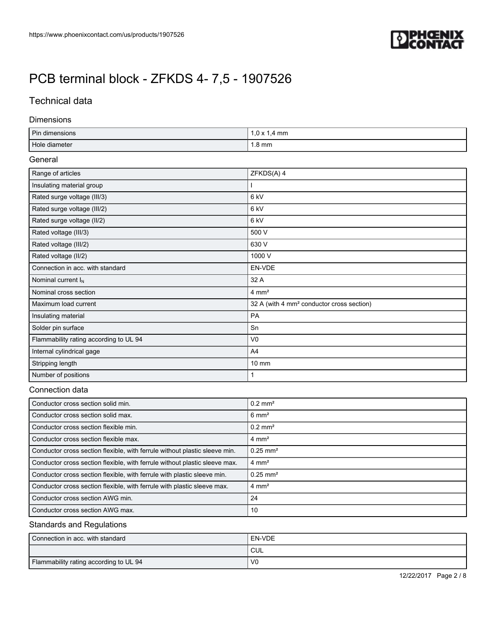

## Technical data

### Dimensions

| Pin dimensions | $1.0 \times 1.4 \text{ mm}$ |
|----------------|-----------------------------|
| Hole diameter  | 1.8 mm                      |

### General

| Range of articles                      | ZFKDS(A) 4                                            |
|----------------------------------------|-------------------------------------------------------|
| Insulating material group              |                                                       |
| Rated surge voltage (III/3)            | 6 <sub>kV</sub>                                       |
| Rated surge voltage (III/2)            | 6 kV                                                  |
| Rated surge voltage (II/2)             | 6 kV                                                  |
| Rated voltage (III/3)                  | 500 V                                                 |
| Rated voltage (III/2)                  | 630 V                                                 |
| Rated voltage (II/2)                   | 1000 V                                                |
| Connection in acc. with standard       | EN-VDE                                                |
| Nominal current I <sub>N</sub>         | 32 A                                                  |
| Nominal cross section                  | $4 \text{ mm}^2$                                      |
| Maximum load current                   | 32 A (with 4 mm <sup>2</sup> conductor cross section) |
| Insulating material                    | PA                                                    |
| Solder pin surface                     | Sn                                                    |
| Flammability rating according to UL 94 | V <sub>0</sub>                                        |
| Internal cylindrical gage              | A4                                                    |
| Stripping length                       | $10 \, \text{mm}$                                     |
| Number of positions                    |                                                       |

### Connection data

| Conductor cross section solid min.                                         | $0.2$ mm <sup>2</sup>  |
|----------------------------------------------------------------------------|------------------------|
| Conductor cross section solid max.                                         | $6 \text{ mm}^2$       |
| Conductor cross section flexible min.                                      | $0.2$ mm <sup>2</sup>  |
| Conductor cross section flexible max.                                      | $4 \text{ mm}^2$       |
| Conductor cross section flexible, with ferrule without plastic sleeve min. | $0.25$ mm <sup>2</sup> |
| Conductor cross section flexible, with ferrule without plastic sleeve max. | $4 \text{ mm}^2$       |
| Conductor cross section flexible, with ferrule with plastic sleeve min.    | $0.25$ mm <sup>2</sup> |
| Conductor cross section flexible, with ferrule with plastic sleeve max.    | $4 \text{ mm}^2$       |
| Conductor cross section AWG min.                                           | 24                     |
| Conductor cross section AWG max.                                           | 10                     |

## Standards and Regulations

| Connection in acc. with standard       | EN-VDE         |
|----------------------------------------|----------------|
|                                        | <b>CUL</b>     |
| Flammability rating according to UL 94 | V <sub>0</sub> |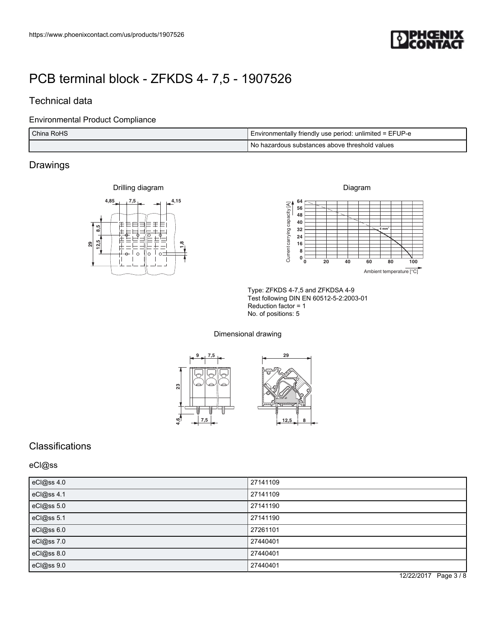

## Technical data

### Environmental Product Compliance

| China RoHS | I Environmentally friendly use period: unlimited = EFUP-e |  |
|------------|-----------------------------------------------------------|--|
|            | Do hazardous substances above threshold values            |  |

## Drawings





Type: ZFKDS 4-7,5 and ZFKDSA 4-9 Test following DIN EN 60512-5-2:2003-01 Reduction factor = 1 No. of positions: 5

Dimensional drawing



## **Classifications**

eCl@ss

| eCl@ss 4.0 | 27141109 |
|------------|----------|
| eCl@ss 4.1 | 27141109 |
| eCl@ss 5.0 | 27141190 |
| eCl@ss 5.1 | 27141190 |
| eCl@ss 6.0 | 27261101 |
| eCl@ss 7.0 | 27440401 |
| eCl@ss 8.0 | 27440401 |
| eCl@ss 9.0 | 27440401 |

12/22/2017 Page 3 / 8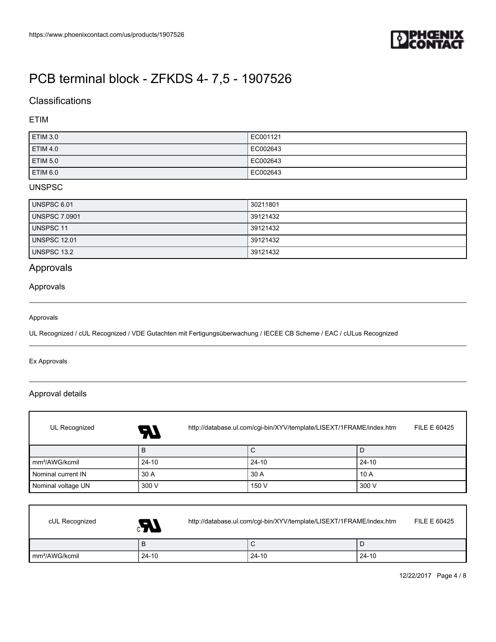

## **Classifications**

### ETIM

| <b>ETIM 3.0</b> | EC001121 |
|-----------------|----------|
| <b>ETIM 4.0</b> | EC002643 |
| <b>ETIM 5.0</b> | EC002643 |
| <b>ETIM 6.0</b> | EC002643 |

## UNSPSC

| UNSPSC 6.01          | 30211801 |
|----------------------|----------|
| <b>UNSPSC 7.0901</b> | 39121432 |
| UNSPSC 11            | 39121432 |
| <b>UNSPSC 12.01</b>  | 39121432 |
| UNSPSC 13.2          | 39121432 |

## Approvals

### Approvals

#### Approvals

UL Recognized / cUL Recognized / VDE Gutachten mit Fertigungsüberwachung / IECEE CB Scheme / EAC / cULus Recognized

#### Ex Approvals

 $\mathsf{r}$ 

## Approval details

| UL Recognized              | 57        | http://database.ul.com/cgi-bin/XYV/template/LISEXT/1FRAME/index.htm |       |  |
|----------------------------|-----------|---------------------------------------------------------------------|-------|--|
|                            | B         | С                                                                   | D     |  |
| mm <sup>2</sup> /AWG/kcmil | $24 - 10$ | $24 - 10$                                                           | 24-10 |  |
| Nominal current IN         | 30 A      | 30 A                                                                | 10A   |  |
| Nominal voltage UN         | 300 V     | 150 V                                                               | 300 V |  |

| cUL Recognized             | $\bm{M}$ | http://database.ul.com/cgi-bin/XYV/template/LISEXT/1FRAME/index.htm |       |       | FILE E 60425 |
|----------------------------|----------|---------------------------------------------------------------------|-------|-------|--------------|
|                            | в        |                                                                     | ັ     | ۰L    |              |
| mm <sup>2</sup> /AWG/kcmil | $24-10$  |                                                                     | 24-10 | 24-10 |              |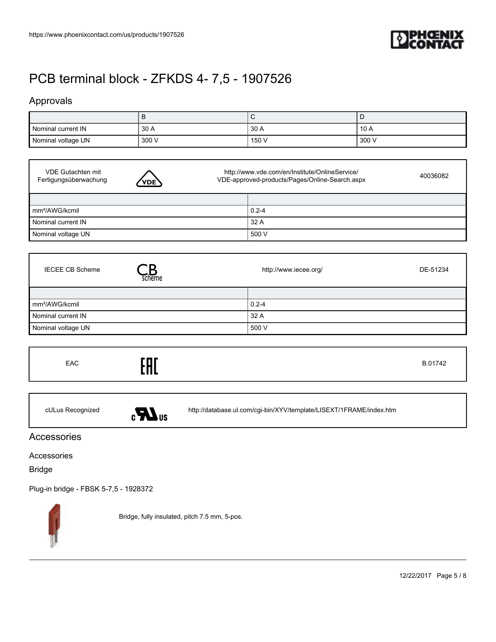

## Approvals

I

| Nominal current IN | 30 A  | 30 A  | 10 A    |
|--------------------|-------|-------|---------|
| Nominal voltage UN | 300 V | 150 V | ່ 300 V |

| VDE Gutachten mit<br>Fertigungsüberwachung<br>VDE <sup>\</sup> | http://www.vde.com/en/Institute/OnlineService/<br>VDE-approved-products/Pages/Online-Search.aspx |  |
|----------------------------------------------------------------|--------------------------------------------------------------------------------------------------|--|
|                                                                |                                                                                                  |  |
| mm <sup>2</sup> /AWG/kcmil                                     | $0.2 - 4$                                                                                        |  |
| Nominal current IN                                             | 32 A                                                                                             |  |
| Nominal voltage UN                                             | 500 V                                                                                            |  |

| <b>IECEE CB Scheme</b><br>scheme | http://www.iecee.org/<br>DE-51234 |  |
|----------------------------------|-----------------------------------|--|
|                                  |                                   |  |
| mm <sup>2</sup> /AWG/kcmil       | $0.2 - 4$                         |  |
| Nominal current IN               | 32 A                              |  |
| Nominal voltage UN               | 500 V                             |  |

| EAC | гпг<br>П<br>. |  |
|-----|---------------|--|
|     |               |  |



cULus Recognized <http://database.ul.com/cgi-bin/XYV/template/LISEXT/1FRAME/index.htm>

## Accessories

Accessories

Bridge

[Plug-in bridge - FBSK 5-7,5 - 1928372](https://www.phoenixcontact.com/us/products/1928372)



Bridge, fully insulated, pitch 7.5 mm, 5-pos.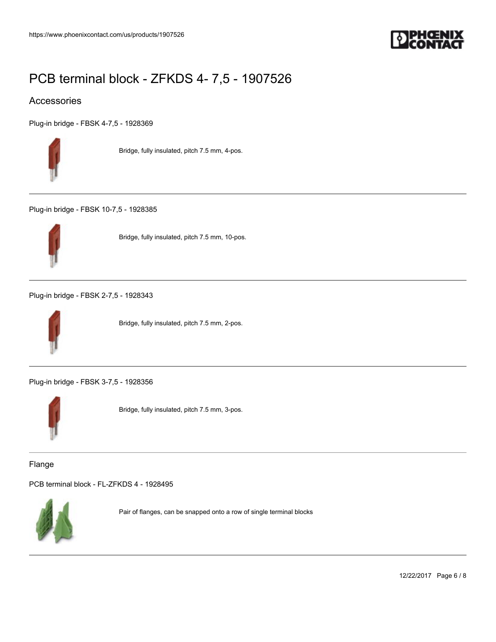

## Accessories

[Plug-in bridge - FBSK 4-7,5 - 1928369](https://www.phoenixcontact.com/us/products/1928369)



Bridge, fully insulated, pitch 7.5 mm, 4-pos.

[Plug-in bridge - FBSK 10-7,5 - 1928385](https://www.phoenixcontact.com/us/products/1928385)



Bridge, fully insulated, pitch 7.5 mm, 10-pos.

[Plug-in bridge - FBSK 2-7,5 - 1928343](https://www.phoenixcontact.com/us/products/1928343)



Bridge, fully insulated, pitch 7.5 mm, 2-pos.

[Plug-in bridge - FBSK 3-7,5 - 1928356](https://www.phoenixcontact.com/us/products/1928356)



Bridge, fully insulated, pitch 7.5 mm, 3-pos.

Flange

[PCB terminal block - FL-ZFKDS 4 - 1928495](https://www.phoenixcontact.com/us/products/1928495)



Pair of flanges, can be snapped onto a row of single terminal blocks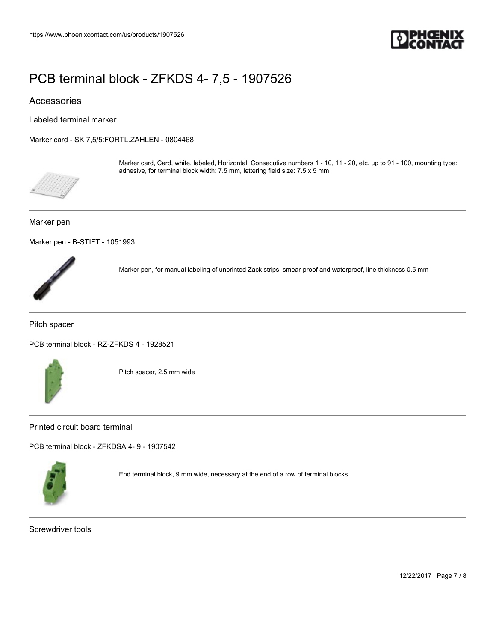

## Accessories

Labeled terminal marker

[Marker card - SK 7,5/5:FORTL.ZAHLEN - 0804468](https://www.phoenixcontact.com/us/products/0804468)



Marker card, Card, white, labeled, Horizontal: Consecutive numbers 1 - 10, 11 - 20, etc. up to 91 - 100, mounting type: adhesive, for terminal block width: 7.5 mm, lettering field size: 7.5 x 5 mm

#### Marker pen

[Marker pen - B-STIFT - 1051993](https://www.phoenixcontact.com/us/products/1051993)



Marker pen, for manual labeling of unprinted Zack strips, smear-proof and waterproof, line thickness 0.5 mm

Pitch spacer

[PCB terminal block - RZ-ZFKDS 4 - 1928521](https://www.phoenixcontact.com/us/products/1928521)



Pitch spacer, 2.5 mm wide

Printed circuit board terminal

[PCB terminal block - ZFKDSA 4- 9 - 1907542](https://www.phoenixcontact.com/us/products/1907542)



End terminal block, 9 mm wide, necessary at the end of a row of terminal blocks

Screwdriver tools